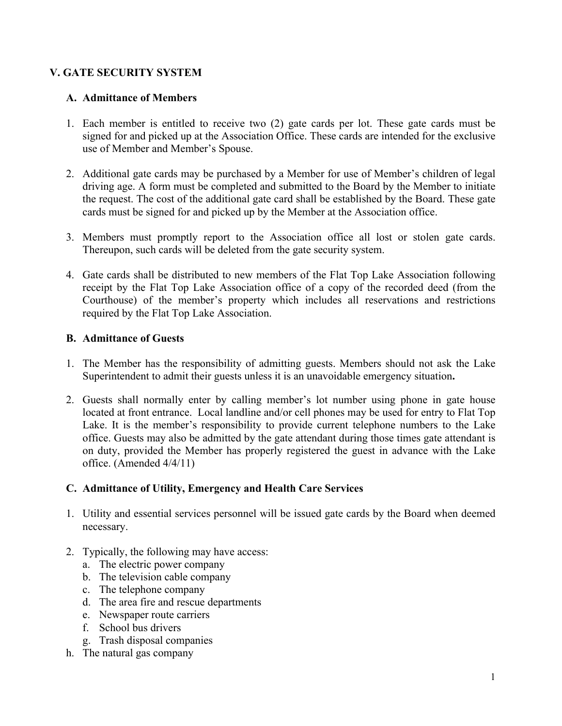# **V. GATE SECURITY SYSTEM**

### **A. Admittance of Members**

- 1. Each member is entitled to receive two (2) gate cards per lot. These gate cards must be signed for and picked up at the Association Office. These cards are intended for the exclusive use of Member and Member's Spouse.
- 2. Additional gate cards may be purchased by a Member for use of Member's children of legal driving age. A form must be completed and submitted to the Board by the Member to initiate the request. The cost of the additional gate card shall be established by the Board. These gate cards must be signed for and picked up by the Member at the Association office.
- 3. Members must promptly report to the Association office all lost or stolen gate cards. Thereupon, such cards will be deleted from the gate security system.
- 4. Gate cards shall be distributed to new members of the Flat Top Lake Association following receipt by the Flat Top Lake Association office of a copy of the recorded deed (from the Courthouse) of the member's property which includes all reservations and restrictions required by the Flat Top Lake Association.

### **B. Admittance of Guests**

- 1. The Member has the responsibility of admitting guests. Members should not ask the Lake Superintendent to admit their guests unless it is an unavoidable emergency situation**.**
- 2. Guests shall normally enter by calling member's lot number using phone in gate house located at front entrance. Local landline and/or cell phones may be used for entry to Flat Top Lake. It is the member's responsibility to provide current telephone numbers to the Lake office. Guests may also be admitted by the gate attendant during those times gate attendant is on duty, provided the Member has properly registered the guest in advance with the Lake office. (Amended 4/4/11)

#### **C. Admittance of Utility, Emergency and Health Care Services**

- 1. Utility and essential services personnel will be issued gate cards by the Board when deemed necessary.
- 2. Typically, the following may have access:
	- a. The electric power company
	- b. The television cable company
	- c. The telephone company
	- d. The area fire and rescue departments
	- e. Newspaper route carriers
	- f. School bus drivers
	- g. Trash disposal companies
- h. The natural gas company